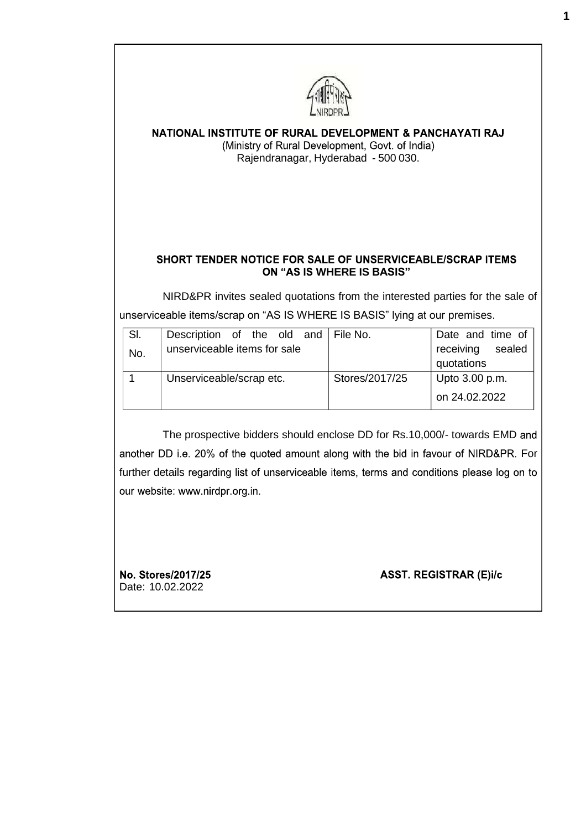

## NATIONAL INSTITUTE OF RURAL DEVELOPMENT & PANCHAYATI RAJ (Ministry of Rural Development, Govt. of India) Rajendranagar, Hyderabad - 500 030.

## SHORT TENDER NOTICE FOR SALE OF UNSERVICEABLE/SCRAP ITEMS **WHERE IS BASIS"**

NIRD&PR invites sealed quotations from the interested parties for the sale of unserviceable items/scrap on "AS IS WHERE IS BASIS" lying at our premises.

|                              |  |  |                          |                | Date and time of                    |
|------------------------------|--|--|--------------------------|----------------|-------------------------------------|
| unserviceable items for sale |  |  |                          |                | sealed<br>receiving                 |
|                              |  |  |                          |                | quotations                          |
|                              |  |  |                          | Stores/2017/25 | Upto 3.00 p.m.                      |
|                              |  |  |                          |                | on 24.02.2022                       |
|                              |  |  | Unserviceable/scrap etc. |                | Description of the old and File No. |

The prospective bidders should enclose DD for Rs.10,000/- towards EMD another DD i.e. 20% of the quoted amount along with the bid in favour of NIRD&PR. For further details regarding list of unserviceable items, terms and conditions please log on to our website: www.nirdpr.org.in.

No. Stores/2017/25 Date: 10.02.2022

**ASST. REGISTRAR (E)i/c**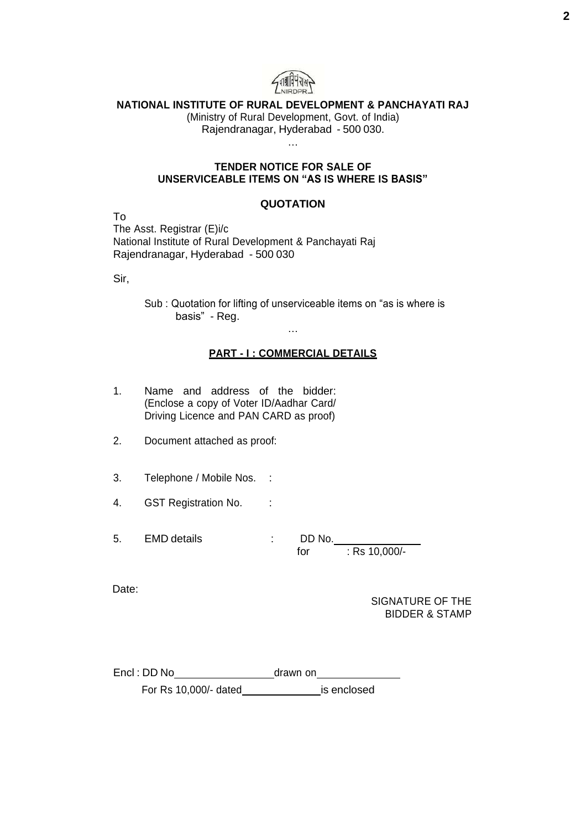

## **NATIONAL INSTITUTE OF RURAL DEVELOPMENT & PANCHAYATI RAJ**

(Ministry of Rural Development, Govt. of India) Rajendranagar, Hyderabad - 500 030. …

#### **TENDER NOTICE FOR SALE OF UNSERVICEABLE ITEMS ON "AS IS WHERE IS BASIS"**

#### **QUOTATION**

To The Asst. Registrar (E)i/c National Institute of Rural Development & Panchayati Raj Rajendranagar, Hyderabad - 500 030

Sir,

Sub : Quotation for lifting of unserviceable items on "as is where is basis" - Reg.

#### **PART - I : COMMERCIAL DETAILS**

…

- 1. Name and address of the bidder: (Enclose a copy of Voter ID/Aadhar Card/ Driving Licence and PAN CARD as proof)
- 2. Document attached as proof:
- 3. Telephone / Mobile Nos. :
- 4. GST Registration No. :
- 5. EMD details : DD No. for : Rs 10,000/-

Date:

SIGNATURE OF THE BIDDER & STAMP

| Encl : DD No          | drawn on    |  |  |
|-----------------------|-------------|--|--|
| For Rs 10,000/- dated | is enclosed |  |  |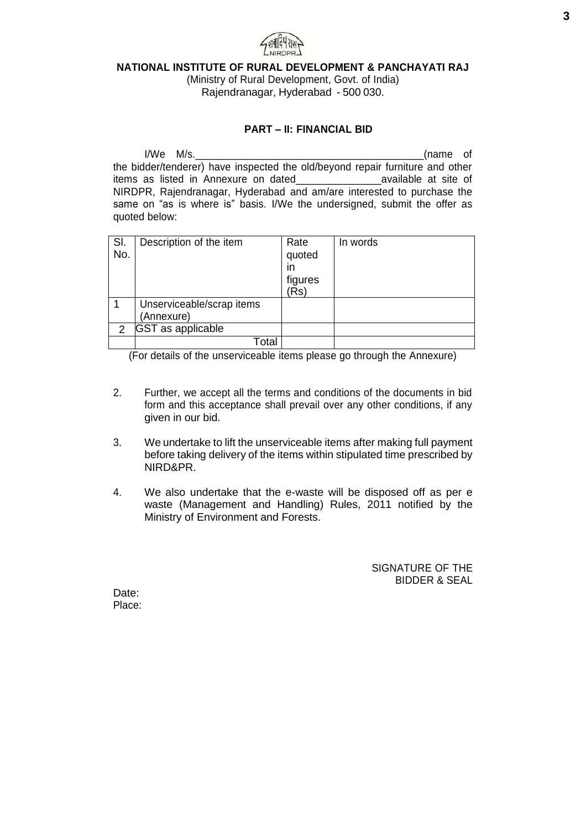

#### **NATIONAL INSTITUTE OF RURAL DEVELOPMENT & PANCHAYATI RAJ**

(Ministry of Rural Development, Govt. of India) Rajendranagar, Hyderabad - 500 030.

#### **PART – II: FINANCIAL BID**

I/We M/s. (name of the bidder/tenderer) have inspected the old/beyond repair furniture and other items as listed in Annexure on dated\_\_\_\_\_\_\_\_\_\_\_\_\_\_\_available at site of NIRDPR, Rajendranagar, Hyderabad and am/are interested to purchase the same on "as is where is" basis. I/We the undersigned, submit the offer as quoted below:

| SI.<br>No.   | Description of the item                 | Rate<br>quoted<br>in<br>figures<br>(Rs) | In words |
|--------------|-----------------------------------------|-----------------------------------------|----------|
|              | Unserviceable/scrap items<br>(Annexure) |                                         |          |
| $\mathbf{2}$ | <b>GST</b> as applicable                |                                         |          |
|              | Total                                   |                                         |          |

(For details of the unserviceable items please go through the Annexure)

- 2. Further, we accept all the terms and conditions of the documents in bid form and this acceptance shall prevail over any other conditions, if any given in our bid.
- 3. We undertake to lift the unserviceable items after making full payment before taking delivery of the items within stipulated time prescribed by NIRD&PR.
- 4. We also undertake that the e-waste will be disposed off as per e waste (Management and Handling) Rules, 2011 notified by the Ministry of Environment and Forests.

SIGNATURE OF THE BIDDER & SEAL

Date: Place: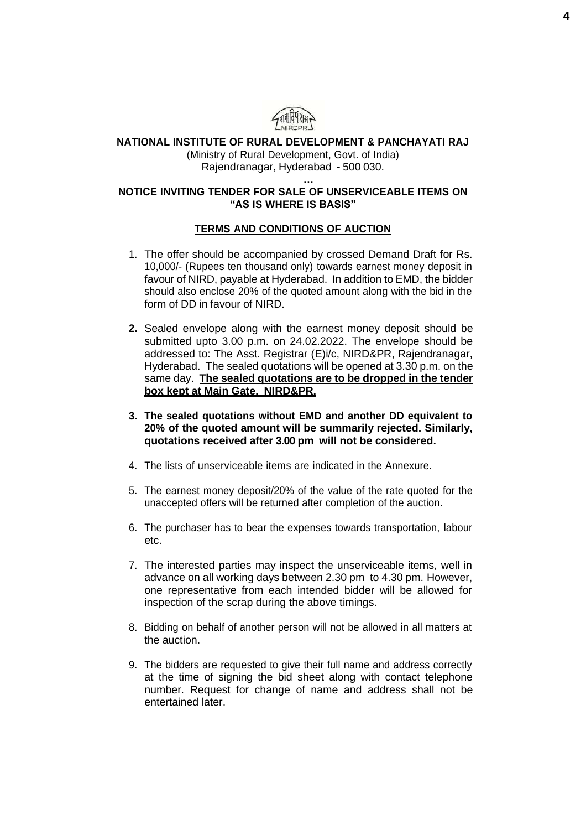

## **NATIONAL INSTITUTE OF RURAL DEVELOPMENT & PANCHAYATI RAJ**

(Ministry of Rural Development, Govt. of India) Rajendranagar, Hyderabad - 500 030.

#### **… NOTICE INVITING TENDER FOR SALE OF UNSERVICEABLE ITEMS ON "AS IS WHERE IS BASIS"**

#### **TERMS AND CONDITIONS OF AUCTION**

- 1. The offer should be accompanied by crossed Demand Draft for Rs. 10,000/- (Rupees ten thousand only) towards earnest money deposit in favour of NIRD, payable at Hyderabad. In addition to EMD, the bidder should also enclose 20% of the quoted amount along with the bid in the form of DD in favour of NIRD.
- **2.** Sealed envelope along with the earnest money deposit should be submitted upto 3.00 p.m. on 24.02.2022. The envelope should be addressed to: The Asst. Registrar (E)i/c, NIRD&PR, Rajendranagar, Hyderabad. The sealed quotations will be opened at 3.30 p.m. on the same day. **The sealed quotations are to be dropped in the tender box kept at Main Gate, NIRD&PR.**
- **3. The sealed quotations without EMD and another DD equivalent to 20% of the quoted amount will be summarily rejected. Similarly, quotations received after 3.00 pm will not be considered.**
- 4. The lists of unserviceable items are indicated in the Annexure.
- 5. The earnest money deposit/20% of the value of the rate quoted for the unaccepted offers will be returned after completion of the auction.
- 6. The purchaser has to bear the expenses towards transportation, labour etc.
- 7. The interested parties may inspect the unserviceable items, well in advance on all working days between 2.30 pm to 4.30 pm. However, one representative from each intended bidder will be allowed for inspection of the scrap during the above timings.
- 8. Bidding on behalf of another person will not be allowed in all matters at the auction.
- 9. The bidders are requested to give their full name and address correctly at the time of signing the bid sheet along with contact telephone number. Request for change of name and address shall not be entertained later.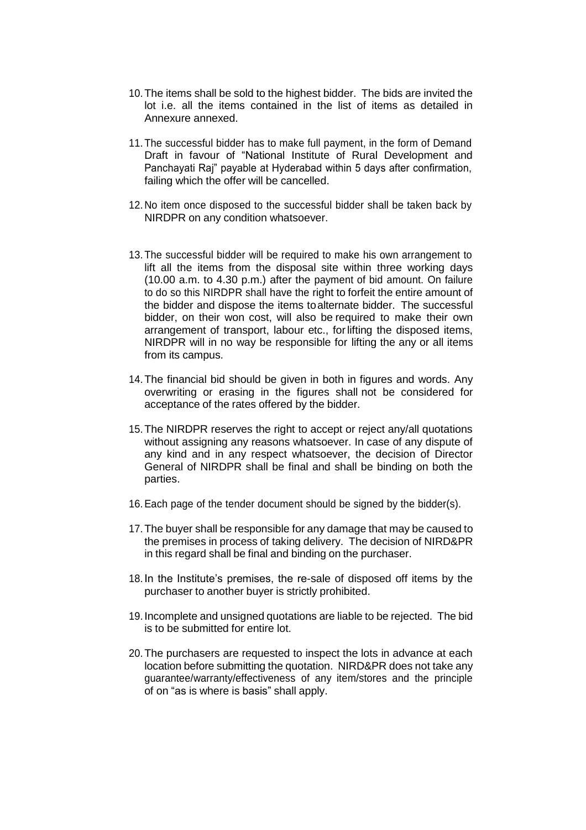- 10.The items shall be sold to the highest bidder. The bids are invited the lot i.e. all the items contained in the list of items as detailed in Annexure annexed.
- 11.The successful bidder has to make full payment, in the form of Demand Draft in favour of "National Institute of Rural Development and Panchayati Raj" payable at Hyderabad within 5 days after confirmation, failing which the offer will be cancelled.
- 12.No item once disposed to the successful bidder shall be taken back by NIRDPR on any condition whatsoever.
- 13.The successful bidder will be required to make his own arrangement to lift all the items from the disposal site within three working days (10.00 a.m. to 4.30 p.m.) after the payment of bid amount. On failure to do so this NIRDPR shall have the right to forfeit the entire amount of the bidder and dispose the items toalternate bidder. The successful bidder, on their won cost, will also be required to make their own arrangement of transport, labour etc., forlifting the disposed items, NIRDPR will in no way be responsible for lifting the any or all items from its campus.
- 14.The financial bid should be given in both in figures and words. Any overwriting or erasing in the figures shall not be considered for acceptance of the rates offered by the bidder.
- 15.The NIRDPR reserves the right to accept or reject any/all quotations without assigning any reasons whatsoever. In case of any dispute of any kind and in any respect whatsoever, the decision of Director General of NIRDPR shall be final and shall be binding on both the parties.
- 16.Each page of the tender document should be signed by the bidder(s).
- 17.The buyer shall be responsible for any damage that may be caused to the premises in process of taking delivery. The decision of NIRD&PR in this regard shall be final and binding on the purchaser.
- 18. In the Institute's premises, the re-sale of disposed off items by the purchaser to another buyer is strictly prohibited.
- 19. Incomplete and unsigned quotations are liable to be rejected. The bid is to be submitted for entire lot.
- 20.The purchasers are requested to inspect the lots in advance at each location before submitting the quotation. NIRD&PR does not take any guarantee/warranty/effectiveness of any item/stores and the principle of on "as is where is basis" shall apply.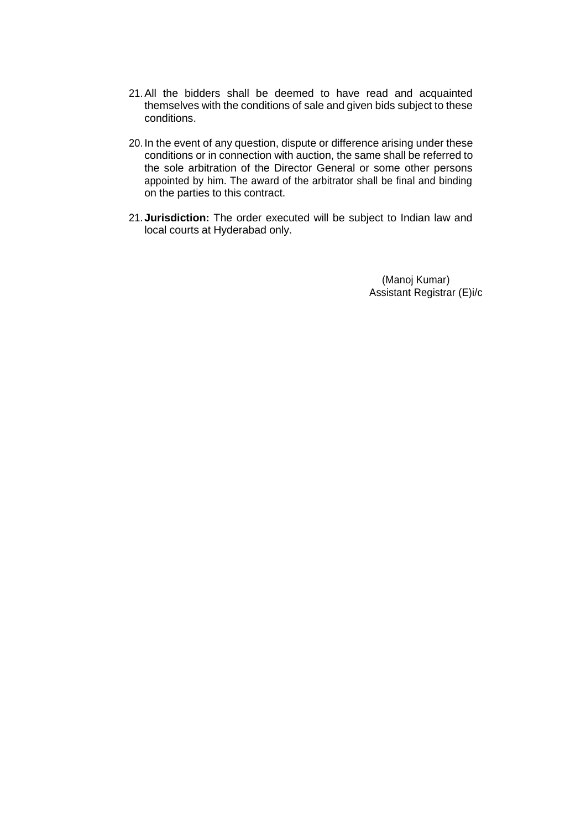- 21.All the bidders shall be deemed to have read and acquainted themselves with the conditions of sale and given bids subject to these conditions.
- 20. In the event of any question, dispute or difference arising under these conditions or in connection with auction, the same shall be referred to the sole arbitration of the Director General or some other persons appointed by him. The award of the arbitrator shall be final and binding on the parties to this contract.
- 21.**Jurisdiction:** The order executed will be subject to Indian law and local courts at Hyderabad only.

(Manoj Kumar) Assistant Registrar (E)i/c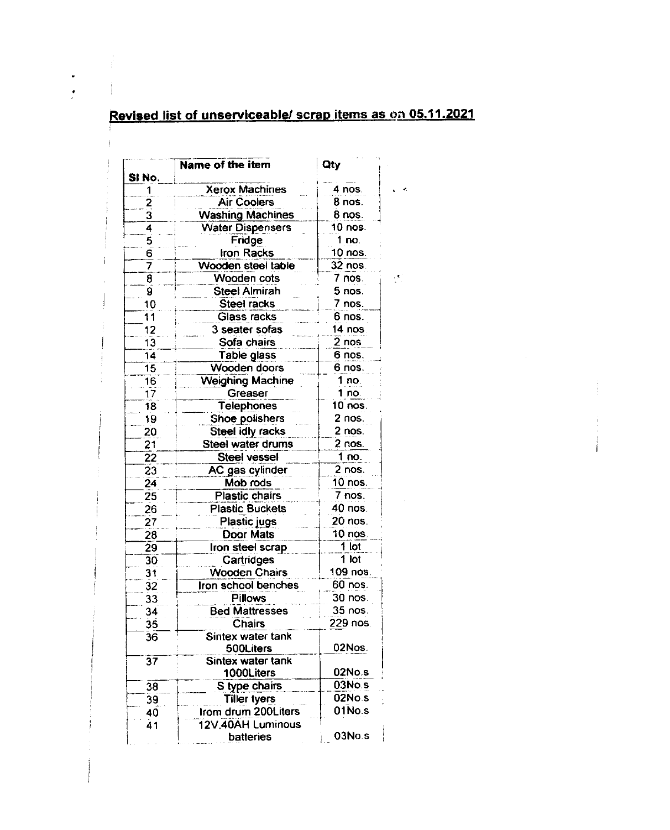# Revised list of unserviceable/ scrap items as on 05.11.2021

 $\omega_{\rm{eff}}$ 

 $\ddot{\phantom{a}}$  $\mathbf{r}$ 

| SINo.                   | Name of the item                         | Qty                 |  |
|-------------------------|------------------------------------------|---------------------|--|
|                         | <b>Xerox Machines</b>                    | 4 nos.              |  |
| 2                       | <b>Air Coolers</b>                       | 8 nos.              |  |
| $\overline{\mathbf{3}}$ | <b>Washing Machines</b>                  | 8 nos.              |  |
| 4                       | <b>Water Dispensers</b>                  | 10 nos.             |  |
| 5                       | Fridge                                   | 1 no.               |  |
| 6                       | Iron Racks                               | 10 nos.             |  |
| 7                       | Wooden steel table                       | 32 nos.             |  |
| 8                       | Wooden cots                              | 7 nos.              |  |
| 9                       | Steel Almirah                            | 5 nos.              |  |
| 10                      | Steel racks                              | 7 nos.              |  |
| 11                      | Glass racks                              | 6 nos.              |  |
| 12                      | 3 seater sofas                           | 1 <b>4 nos</b> .    |  |
| 13                      | Sofa chairs                              | 2 nos               |  |
| 14                      | Table glass                              | 6 nos.              |  |
| 15                      | Wooden doors                             | 6 nos.              |  |
| 16                      | <b>Weighing Machine</b>                  | 1 no.               |  |
| 17                      | Greaser                                  | 1 no.               |  |
| 18                      | Telephones                               | 10 nos.             |  |
| 19                      | Shoe polishers                           | 2 nos.              |  |
| 20                      | Steel idly racks                         | 2 nos.              |  |
| $\overline{21}$         | Steel water drums                        | 2 nos.              |  |
| 22                      | <b>Steel vessel</b>                      | 1 no.               |  |
| 23                      | AC gas cylinder                          | $2$ nos.            |  |
| 24                      | Mob rods                                 | 10 nos.             |  |
| 25                      | <b>Plastic chairs</b>                    | $\overline{7}$ nos. |  |
| 26                      | <b>Plastic Buckets</b>                   | 40 nos.             |  |
|                         |                                          | 20 nos.             |  |
| $\overline{27}$         | Plastic jugs                             |                     |  |
| 28                      | <b>Door Mats</b>                         | 10 nos.<br>1 lot    |  |
| $\overline{29}$         | Iron steel scrap                         |                     |  |
| 30                      | Cartridges                               | 1 lot<br>109 nos.   |  |
| 31                      | <b>Wooden Chairs</b>                     |                     |  |
| 32                      | Iron school benches                      | 60 nos.             |  |
| 33                      | <b>Pillows</b>                           | 30 nos.             |  |
| 34                      | <b>Bed Mattresses</b>                    | 35 nos.             |  |
| 35                      | <b>Chairs</b>                            | 229 nos.            |  |
| 36                      | Sintex water tank<br>500Liters           | 02Nos.              |  |
| $\overline{37}$         | Sintex water tank<br>1000Liters          | 02No.s              |  |
| 38                      | S type chairs                            | 03No.s              |  |
| 39                      | <b>Tiller tyers</b>                      | 02No.s              |  |
| 40<br>41                | Irom drum 200Liters<br>12V,40AH Luminous | 01No.s              |  |
|                         | <b>batteries</b>                         | 03No.s              |  |